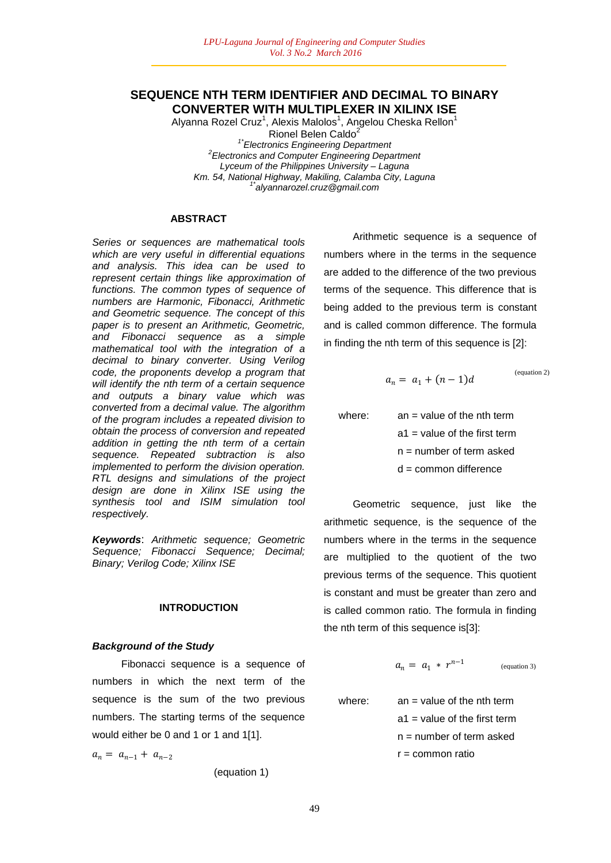# **SEQUENCE NTH TERM IDENTIFIER AND DECIMAL TO BINARY CONVERTER WITH MULTIPLEXER IN XILINX ISE**

Alyanna Rozel Cruz<sup>1</sup>, Alexis Malolos<sup>1</sup>, Angelou Cheska Rellon<sup>1</sup> Rionel Belen Caldo<sup>2</sup> *1\*Electronics Engineering Department 2 Electronics and Computer Engineering Department Lyceum of the Philippines University – Laguna Km. 54, National Highway, Makiling, Calamba City, Laguna 1\*alyannarozel.cruz@gmail.com*

## **ABSTRACT**

*Series or sequences are mathematical tools which are very useful in differential equations and analysis. This idea can be used to represent certain things like approximation of functions. The common types of sequence of numbers are Harmonic, Fibonacci, Arithmetic and Geometric sequence. The concept of this paper is to present an Arithmetic, Geometric, and Fibonacci sequence as a simple mathematical tool with the integration of a decimal to binary converter. Using Verilog code, the proponents develop a program that will identify the nth term of a certain sequence and outputs a binary value which was converted from a decimal value. The algorithm of the program includes a repeated division to obtain the process of conversion and repeated addition in getting the nth term of a certain sequence. Repeated subtraction is also implemented to perform the division operation. RTL designs and simulations of the project design are done in Xilinx ISE using the synthesis tool and ISIM simulation tool respectively.*

*Keywords*: *Arithmetic sequence; Geometric Sequence; Fibonacci Sequence; Decimal; Binary; Verilog Code; Xilinx ISE*

#### **INTRODUCTION**

### *Background of the Study*

Fibonacci sequence is a sequence of numbers in which the next term of the sequence is the sum of the two previous numbers. The starting terms of the sequence would either be 0 and 1 or 1 and 1[1].

 $a_n = a_{n-1} + a_{n-2}$ 

(equation 1)

Arithmetic sequence is a sequence of numbers where in the terms in the sequence are added to the difference of the two previous terms of the sequence. This difference that is being added to the previous term is constant and is called common difference. The formula in finding the nth term of this sequence is [2]:

$$
a_n = a_1 + (n-1)d
$$

(equation 2)

where:  $an = value of the nth term$  $a1$  = value of the first term n = number of term asked d = common difference

Geometric sequence, just like the arithmetic sequence, is the sequence of the numbers where in the terms in the sequence are multiplied to the quotient of the two previous terms of the sequence. This quotient is constant and must be greater than zero and is called common ratio. The formula in finding the nth term of this sequence is[3]:

$$
a_n = a_1 \cdot r^{n-1} \qquad \qquad \text{(equation 3)}
$$

where:  $an = value of the nth term$  $a1$  = value of the first term n = number of term asked  $r =$  common ratio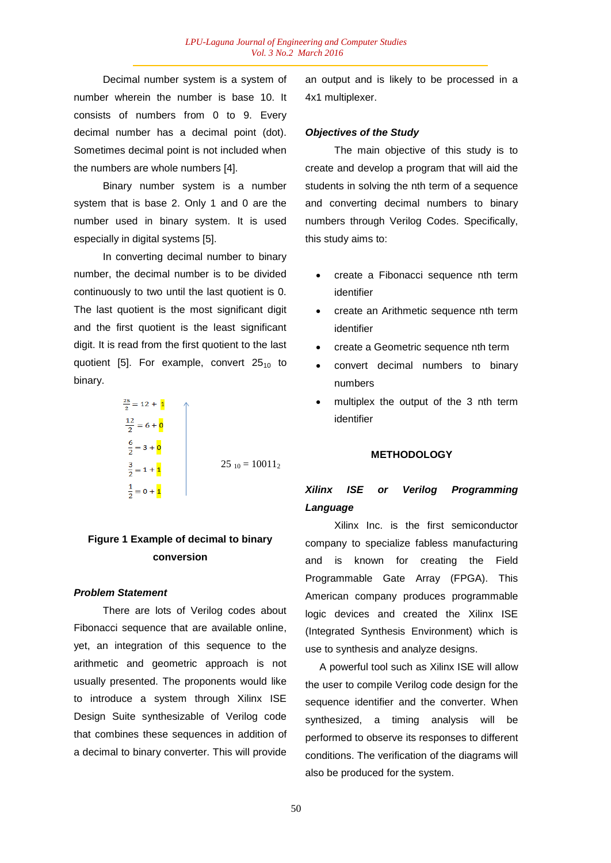Decimal number system is a system of number wherein the number is base 10. It consists of numbers from 0 to 9. Every decimal number has a decimal point (dot). Sometimes decimal point is not included when the numbers are whole numbers [4].

Binary number system is a number system that is base 2. Only 1 and 0 are the number used in binary system. It is used especially in digital systems [5].

In converting decimal number to binary number, the decimal number is to be divided continuously to two until the last quotient is 0. The last quotient is the most significant digit and the first quotient is the least significant digit. It is read from the first quotient to the last quotient [5]. For example, convert  $25_{10}$  to binary.

$$
\frac{25}{2} = 12 + \frac{1}{2}
$$
\n
$$
\frac{12}{2} = 6 + \frac{1}{2}
$$
\n
$$
\frac{6}{2} = 3 + \frac{1}{2}
$$
\n
$$
\frac{3}{2} = 1 + \frac{1}{2}
$$
\n
$$
\frac{1}{2} = 0 + \frac{1}{2}
$$
\n
$$
25_{10} = 10011_2
$$

# **Figure 1 Example of decimal to binary conversion**

### *Problem Statement*

There are lots of Verilog codes about Fibonacci sequence that are available online, yet, an integration of this sequence to the arithmetic and geometric approach is not usually presented. The proponents would like to introduce a system through Xilinx ISE Design Suite synthesizable of Verilog code that combines these sequences in addition of a decimal to binary converter. This will provide

an output and is likely to be processed in a 4x1 multiplexer.

### *Objectives of the Study*

The main objective of this study is to create and develop a program that will aid the students in solving the nth term of a sequence and converting decimal numbers to binary numbers through Verilog Codes. Specifically, this study aims to:

- create a Fibonacci sequence nth term identifier
- create an Arithmetic sequence nth term identifier
- create a Geometric sequence nth term
- convert decimal numbers to binary numbers
- multiplex the output of the 3 nth term identifier

#### **METHODOLOGY**

# *Xilinx ISE or Verilog Programming Language*

Xilinx Inc. is the first semiconductor company to specialize fabless manufacturing and is known for creating the Field Programmable Gate Array (FPGA). This American company produces programmable logic devices and created the Xilinx ISE (Integrated Synthesis Environment) which is use to synthesis and analyze designs.

 A powerful tool such as Xilinx ISE will allow the user to compile Verilog code design for the sequence identifier and the converter. When synthesized, a timing analysis will be performed to observe its responses to different conditions. The verification of the diagrams will also be produced for the system.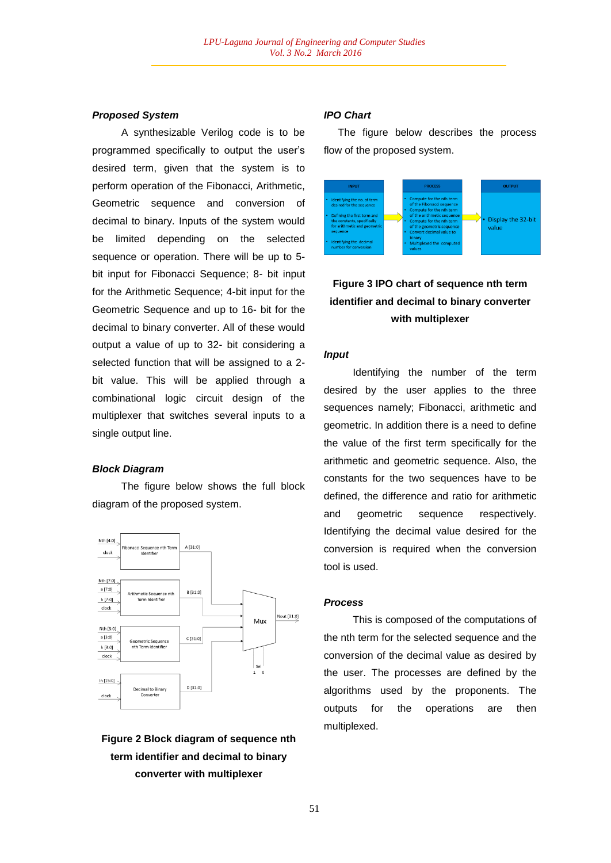### *Proposed System*

A synthesizable Verilog code is to be programmed specifically to output the user's desired term, given that the system is to perform operation of the Fibonacci, Arithmetic, Geometric sequence and conversion of decimal to binary. Inputs of the system would be limited depending on the selected sequence or operation. There will be up to 5 bit input for Fibonacci Sequence; 8- bit input for the Arithmetic Sequence; 4-bit input for the Geometric Sequence and up to 16- bit for the decimal to binary converter. All of these would output a value of up to 32- bit considering a selected function that will be assigned to a 2 bit value. This will be applied through a combinational logic circuit design of the multiplexer that switches several inputs to a single output line.

### *Block Diagram*

The figure below shows the full block diagram of the proposed system.



# **Figure 2 Block diagram of sequence nth term identifier and decimal to binary converter with multiplexer**

#### *IPO Chart*

 The figure below describes the process flow of the proposed system.



# **Figure 3 IPO chart of sequence nth term identifier and decimal to binary converter with multiplexer**

## *Input*

Identifying the number of the term desired by the user applies to the three sequences namely; Fibonacci, arithmetic and geometric. In addition there is a need to define the value of the first term specifically for the arithmetic and geometric sequence. Also, the constants for the two sequences have to be defined, the difference and ratio for arithmetic and geometric sequence respectively. Identifying the decimal value desired for the conversion is required when the conversion tool is used.

#### *Process*

This is composed of the computations of the nth term for the selected sequence and the conversion of the decimal value as desired by the user. The processes are defined by the algorithms used by the proponents. The outputs for the operations are then multiplexed.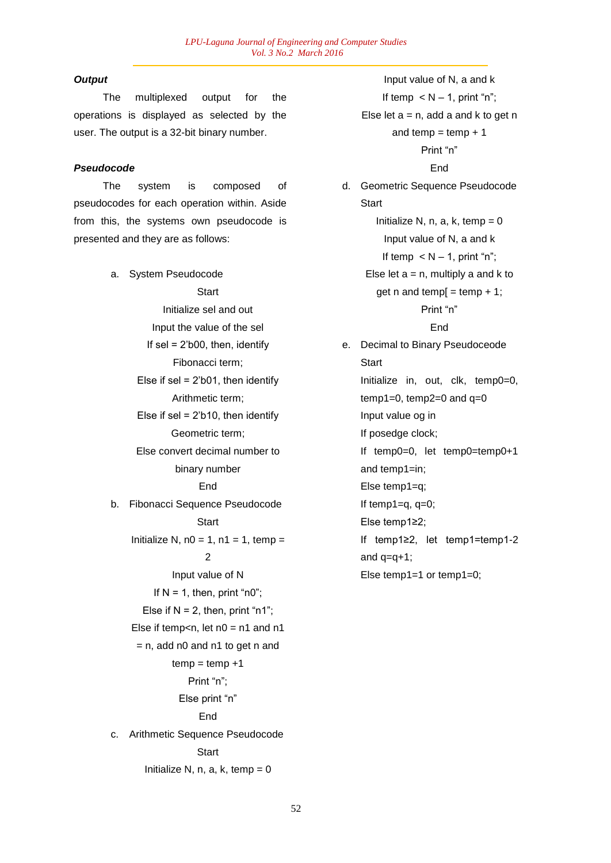# *Output*

The multiplexed output for the operations is displayed as selected by the user. The output is a 32-bit binary number.

## *Pseudocode*

The system is composed of pseudocodes for each operation within. Aside from this, the systems own pseudocode is presented and they are as follows:

> a. System Pseudocode **Start** Initialize sel and out Input the value of the sel If sel =  $2$ 'b00, then, identify Fibonacci term; Else if  $sel = 2'b01$ , then identify Arithmetic term; Else if  $sel = 2'b10$ , then identify Geometric term; Else convert decimal number to binary number End b. Fibonacci Sequence Pseudocode **Start** Initialize N,  $n0 = 1$ ,  $n1 = 1$ , temp = 2 Input value of N If  $N = 1$ , then, print "n0"; Else if  $N = 2$ , then, print "n1"; Else if temp<n, let  $n0 = n1$  and  $n1$  $=$  n, add n0 and n1 to get n and  $temp = temp +1$ Print "n"; Else print "n" End c. Arithmetic Sequence Pseudocode **Start** Initialize N, n, a, k, temp  $= 0$

Input value of N, a and k If temp  $\lt N - 1$ , print "n": Else let  $a = n$ , add a and k to get n and temp  $=$  temp  $+1$ Print "n" End d. Geometric Sequence Pseudocode **Start** Initialize N, n, a, k, temp  $= 0$ Input value of N, a and k If temp  $\lt N - 1$ , print "n"; Else let  $a = n$ , multiply a and k to get n and temp $[$  = temp + 1; Print "n" End e. Decimal to Binary Pseudoceode **Start** Initialize in, out, clk, temp0=0,  $temp1=0$ ,  $temp2=0$  and  $q=0$ Input value og in If posedge clock; If temp0=0, let temp0=temp0+1 and temp1=in; Else temp1=q; If temp1=q,  $q=0$ ; Else temp1≥2; If temp1≥2, let temp1=temp1-2 and  $q=q+1$ ;

Else temp1=1 or temp1=0;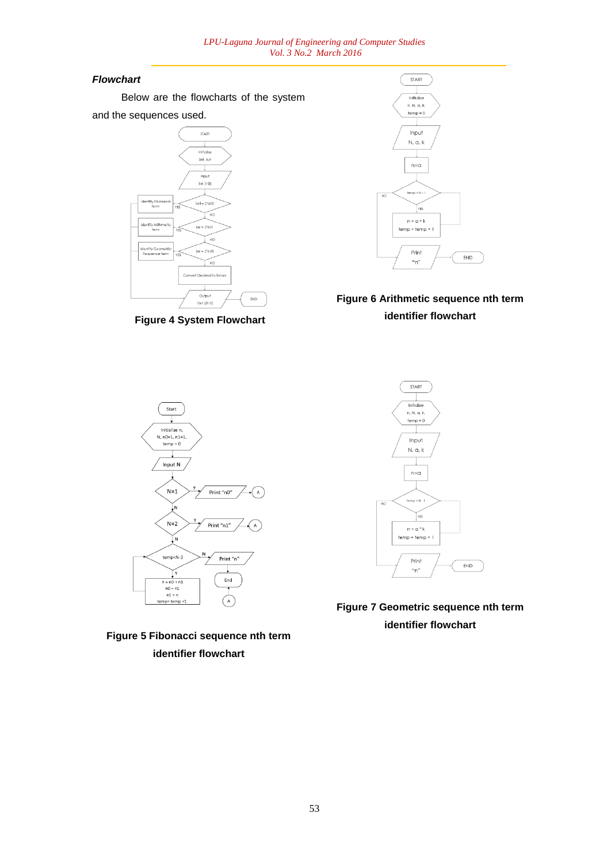# *Flowchart*

Below are the flowcharts of the system and the sequences used.



**Figure 4 System Flowchart**



# **Figure 6 Arithmetic sequence nth term identifier flowchart**







**Figure 7 Geometric sequence nth term identifier flowchart**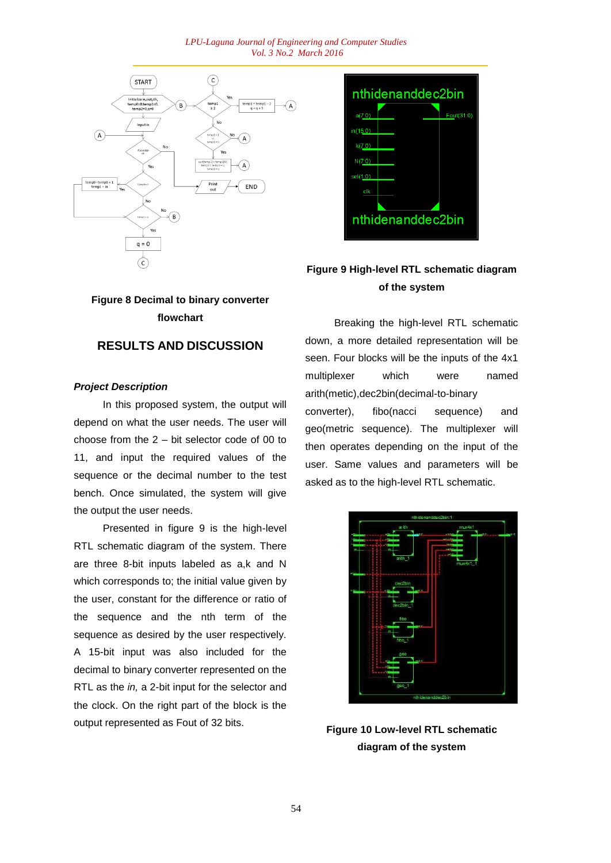#### *LPU-Laguna Journal of Engineering and Computer Studies Vol. 3 No.2 March 2016*



# **Figure 8 Decimal to binary converter flowchart**

# **RESULTS AND DISCUSSION**

## *Project Description*

In this proposed system, the output will depend on what the user needs. The user will choose from the 2 – bit selector code of 00 to 11, and input the required values of the sequence or the decimal number to the test bench. Once simulated, the system will give the output the user needs.

Presented in figure 9 is the high-level RTL schematic diagram of the system. There are three 8-bit inputs labeled as a,k and N which corresponds to; the initial value given by the user, constant for the difference or ratio of the sequence and the nth term of the sequence as desired by the user respectively. A 15-bit input was also included for the decimal to binary converter represented on the RTL as the *in,* a 2-bit input for the selector and the clock. On the right part of the block is the output represented as Fout of 32 bits.



# **Figure 9 High-level RTL schematic diagram of the system**

Breaking the high-level RTL schematic down, a more detailed representation will be seen. Four blocks will be the inputs of the 4x1 multiplexer which were named arith(metic),dec2bin(decimal-to-binary converter), fibo(nacci sequence) and geo(metric sequence). The multiplexer will then operates depending on the input of the user. Same values and parameters will be asked as to the high-level RTL schematic.



**Figure 10 Low-level RTL schematic diagram of the system**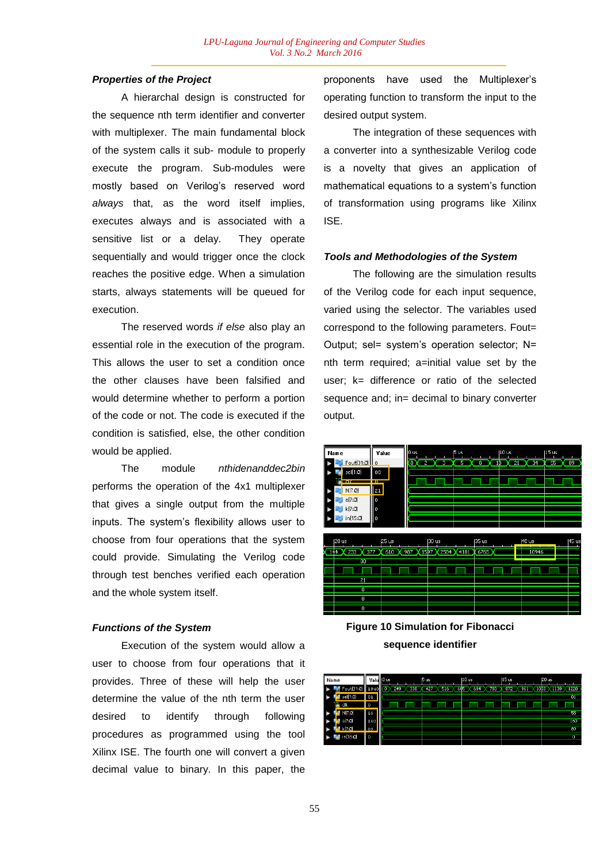## *Properties of the Project*

A hierarchal design is constructed for the sequence nth term identifier and converter with multiplexer. The main fundamental block of the system calls it sub- module to properly execute the program. Sub-modules were mostly based on Verilog's reserved word *always* that, as the word itself implies, executes always and is associated with a sensitive list or a delay. They operate sequentially and would trigger once the clock reaches the positive edge. When a simulation starts, always statements will be queued for execution.

The reserved words *if else* also play an essential role in the execution of the program. This allows the user to set a condition once the other clauses have been falsified and would determine whether to perform a portion of the code or not. The code is executed if the condition is satisfied, else, the other condition would be applied.

The module *nthidenanddec2bin* performs the operation of the 4x1 multiplexer that gives a single output from the multiple inputs. The system's flexibility allows user to choose from four operations that the system could provide. Simulating the Verilog code through test benches verified each operation and the whole system itself.

### *Functions of the System*

Execution of the system would allow a user to choose from four operations that it provides. Three of these will help the user determine the value of the nth term the user desired to identify through following procedures as programmed using the tool Xilinx ISE. The fourth one will convert a given decimal value to binary. In this paper, the

proponents have used the Multiplexer's operating function to transform the input to the desired output system.

The integration of these sequences with a converter into a synthesizable Verilog code is a novelty that gives an application of mathematical equations to a system's function of transformation using programs like Xilinx ISE.

## *Tools and Methodologies of the System*

The following are the simulation results of the Verilog code for each input sequence, varied using the selector. The variables used correspond to the following parameters. Fout= Output; sel= system's operation selector; N= nth term required; a=initial value set by the user; k= difference or ratio of the selected sequence and; in= decimal to binary converter output.



**Figure 10 Simulation for Fibonacci sequence identifier**

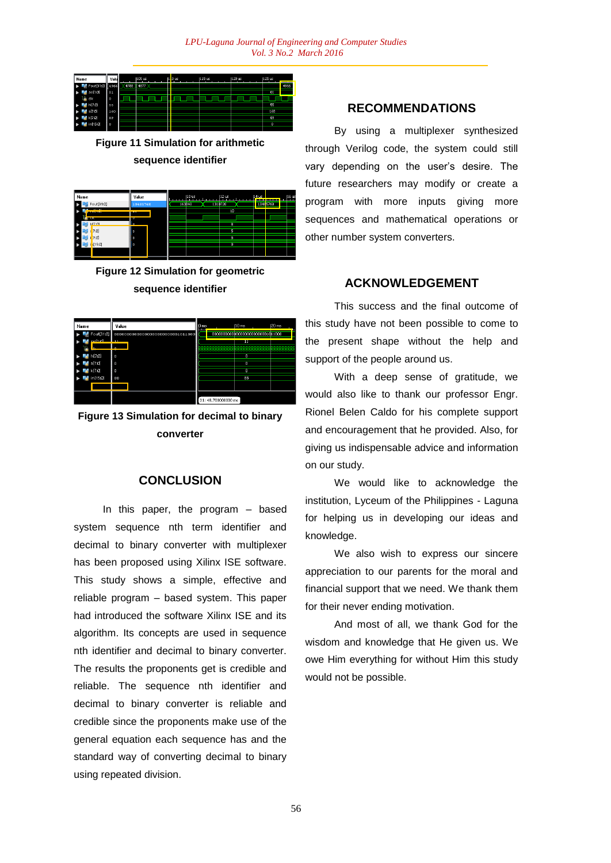| Name             | Valu |        | 1105 us |  | $ 1 $ .0 us | 115 us | 1120 us | I125 us  | __   |
|------------------|------|--------|---------|--|-------------|--------|---------|----------|------|
| J.<br>Fout[31:0] | 4966 | X 4788 | 4877    |  |             |        |         |          | 4966 |
| sel[1:0]<br>-5   | 01   |        |         |  |             |        |         | 01       |      |
| 18 dk            | l o  |        |         |  |             |        |         |          |      |
| -31<br>N[7:0]    | 55   |        |         |  |             |        |         | 55       |      |
| a[7:0]           | 160  |        |         |  |             |        |         | 160      |      |
| k[7:0]           | 89   |        |         |  |             |        |         | 89       |      |
| in[15:0]<br>ь    | l o  |        |         |  |             |        |         | $\bf{0}$ |      |

**Figure 11 Simulation for arithmetic sequence identifier**

| Name                        | Value            | 10 <sub>us</sub>  | 12 <sub>us</sub>         | 14 <sub>us</sub> | 16 us |
|-----------------------------|------------------|-------------------|--------------------------|------------------|-------|
| Fout[31:0]                  | 10485760         | 1310720<br>163840 |                          | 1048 5760        |       |
| atte mi                     |                  |                   | 10                       |                  |       |
| <b>STEP</b><br>N[7:0]<br>ă. | ۱з               |                   | $\overline{\phantom{a}}$ |                  |       |
| $\frac{1}{6}[7:0]$<br>ж     | S                |                   | s                        |                  |       |
| [7:0]<br>١ë<br>a Ki         | $\boldsymbol{8}$ |                   | 8                        |                  |       |
| in[15:0]<br>$\bullet$       | $\theta$         |                   | o                        |                  |       |
|                             |                  |                   |                          |                  |       |

**Figure 12 Simulation for geometric sequence identifier**

| Name           | Value    | IO ms |                     | $110$ ms | $ 20$ ms |
|----------------|----------|-------|---------------------|----------|----------|
| Fout[31:0]     |          |       |                     |          |          |
| cell1-01<br>m. | $\sim$   |       |                     | п        |          |
| N[7:0]         | $\Omega$ |       |                     | $\Omega$ |          |
| a[7:0]         | $\Omega$ |       |                     | $\Omega$ |          |
| k[7:0]         | $\circ$  |       |                     | $\bf{0}$ |          |
| in[15:0]       | 88       |       |                     | 88       |          |
|                |          |       |                     |          |          |
|                |          |       | X1: 48.700000000 ms |          |          |

**Figure 13 Simulation for decimal to binary converter**

## **CONCLUSION**

In this paper, the program – based system sequence nth term identifier and decimal to binary converter with multiplexer has been proposed using Xilinx ISE software. This study shows a simple, effective and reliable program – based system. This paper had introduced the software Xilinx ISE and its algorithm. Its concepts are used in sequence nth identifier and decimal to binary converter. The results the proponents get is credible and reliable. The sequence nth identifier and decimal to binary converter is reliable and credible since the proponents make use of the general equation each sequence has and the standard way of converting decimal to binary using repeated division.

# **RECOMMENDATIONS**

By using a multiplexer synthesized through Verilog code, the system could still vary depending on the user's desire. The future researchers may modify or create a program with more inputs giving more sequences and mathematical operations or other number system converters.

# **ACKNOWLEDGEMENT**

This success and the final outcome of this study have not been possible to come to the present shape without the help and support of the people around us.

With a deep sense of gratitude, we would also like to thank our professor Engr. Rionel Belen Caldo for his complete support and encouragement that he provided. Also, for giving us indispensable advice and information on our study.

We would like to acknowledge the institution, Lyceum of the Philippines - Laguna for helping us in developing our ideas and knowledge.

We also wish to express our sincere appreciation to our parents for the moral and financial support that we need. We thank them for their never ending motivation.

And most of all, we thank God for the wisdom and knowledge that He given us. We owe Him everything for without Him this study would not be possible.